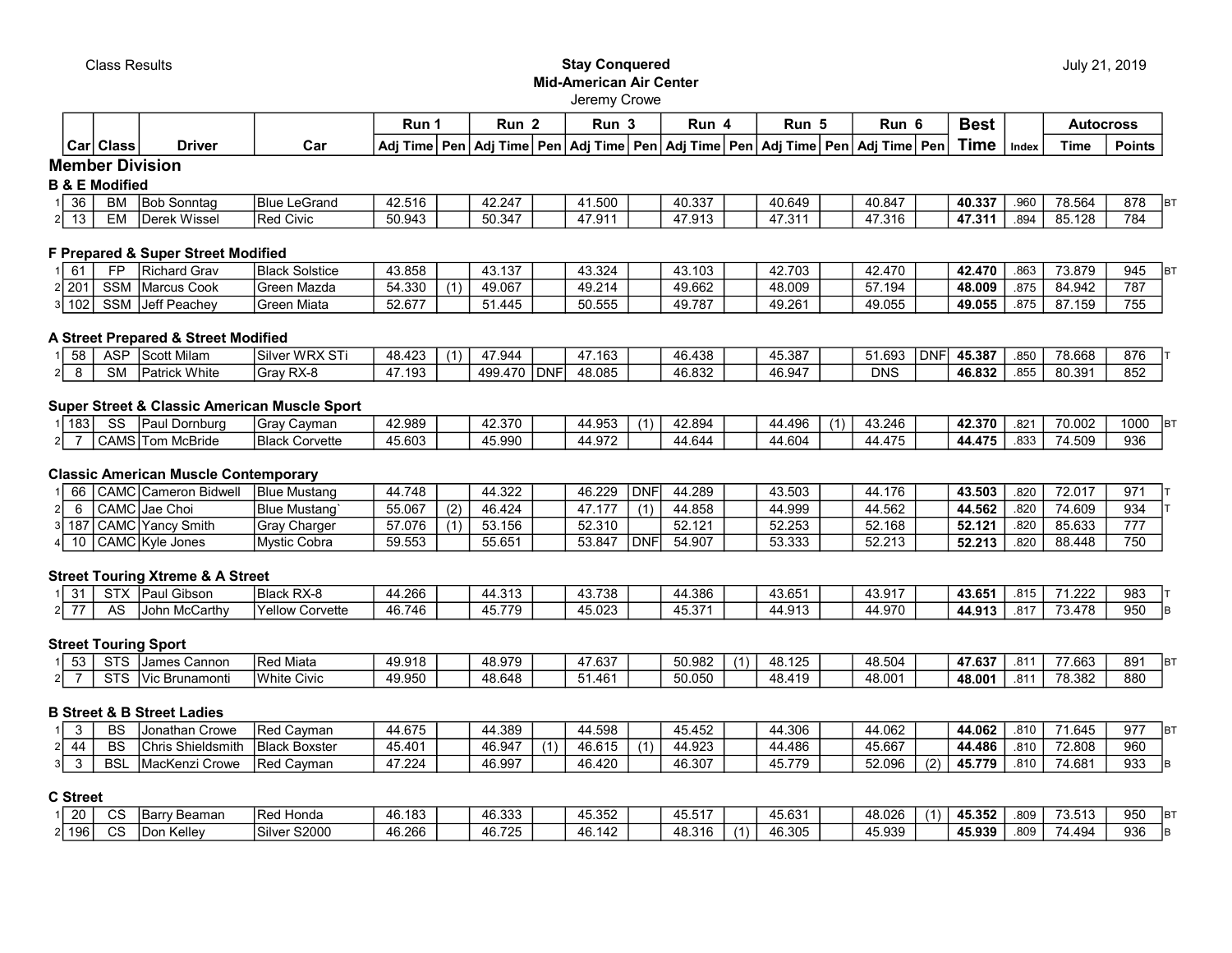#### Class Results **Stay Conquered** Mid-American Air Center Jeremy Crowe

|      |              |               |     | Run                               |     | Run                 |     | Run      |       | Run                  | Run                      |      | Run               |            | Best |       | Autocross |               |
|------|--------------|---------------|-----|-----------------------------------|-----|---------------------|-----|----------|-------|----------------------|--------------------------|------|-------------------|------------|------|-------|-----------|---------------|
| Carl | <b>Class</b> | <b>Driver</b> | Car | ∣ Adi <sup>T</sup><br><b>Fime</b> | Pen | ∍n   Adi ⊤∵<br>Гіmе | Pen | Adi Time | ' Pen | Time ∣ Pen⊤<br>l Adı | Adi <sup>7</sup><br>™e i | ⊺Pen | .ı⊥Adi <b>⊤</b> ` | ⊺ime ∣ Pen | ⊺ime | Index | Time      | <b>Points</b> |

# Member Division

### B & E Modified

| $\sim$<br>36        | <b>BM</b> | <b>IBob</b><br>. Sonntad | <b>Blue</b><br>LeGrand | 42.516 | 42.247      | 1.500                            | 40.337             | 40.649       | +0.847 | 40.337 | .960 | 78.564 | 878 | lB. |
|---------------------|-----------|--------------------------|------------------------|--------|-------------|----------------------------------|--------------------|--------------|--------|--------|------|--------|-----|-----|
| $\sim$ $\sim$<br>ັບ | : IV      | Wissel<br><b>Derek</b>   | <b>Red Civic</b>       | 50.943 | $50.34^{-}$ | 17011<br>$\overline{ }$<br>77. J | 17.010<br>ن ۱ ت. ۱ | 170<br>ن ، ، | '7.316 | 47.311 | .894 | 95.128 | 784 |     |

## F Prepared & Super Street Modified

| $\mathcal{L}$<br>וט | ЕE         | IRichard Grav                                                 | 'Blacŀ<br>Solstice | 43.858 | 43.137 | 43.324         | 103<br>$\sqrt{2}$<br>.ن+ | 42703<br>44. I | 42.470           | 42.470 | .863 | 73.879 | 945 |
|---------------------|------------|---------------------------------------------------------------|--------------------|--------|--------|----------------|--------------------------|----------------|------------------|--------|------|--------|-----|
| 2 201               | SSM        | Marcus Cook                                                   | Mazda<br>⊥Green    | 54.330 | 49.067 | 49.214<br>49 ° | 49.662                   | 48.009         | .194<br>57       | 48.009 | .875 | 84.942 | 787 |
| 102 ا               | <b>SSM</b> | $\mathsf{L} \circ \mathsf{H} \mathsf{L}$<br>Peachey<br>ח וסטו | Miata<br>ıGreer    | 52.677 | .445   | 50.555         | 49.787                   | 49.261         | 10.055<br>49.055 | 49.055 | .875 | 87.159 | 755 |

### A Street Prepared & Street Modified

|   | ັບບ | $\triangle$ SF<br>וטח | t Milam<br>$\sim$<br>ັບເເ | <sup>'</sup> Silver<br>, WRX ST | 1 R<br>$\overline{10}$<br>rv. | 7.944             |       | 47.163 | 46.438 | +5.387<br>$\mathbf{A}$ | i.693      | . .<br><u>.</u> | 45.387 | .850 | 78.668 | 876 |
|---|-----|-----------------------|---------------------------|---------------------------------|-------------------------------|-------------------|-------|--------|--------|------------------------|------------|-----------------|--------|------|--------|-----|
| ິ |     | <b>SM</b>             | White<br>ישו              | Gray RX-8                       | .193<br>. .                   | 499.4<br>$\prime$ | l DNF | 48.085 | 46.832 | $+6.94$ <sup>-</sup>   | <b>DNS</b> |                 | 46.832 | .855 | 80.39  | 852 |

## Super Street & Classic American Muscle Sport

| $\sqrt{2}$<br>1831 | $\sim$<br>ت ت                    | Dornburg<br>au  | Cavman<br>Grav           | 42.989           | 42.370 | באמ'<br><u>ад</u><br>טש | 42.894 | 44.496 | 246.<br>(1) | 42.370 | 004<br>ےס. | 70.002 | 1000<br>IB <sup>7</sup> |
|--------------------|----------------------------------|-----------------|--------------------------|------------------|--------|-------------------------|--------|--------|-------------|--------|------------|--------|-------------------------|
| າ⊺                 | .<br>$\sim$ $\sim$<br>്AMS.<br>ີ | McBride<br>1 om | <b>Black</b><br>Corvette | 15.002<br>45.60. | 15.990 | 1 072<br>44<br>⊤.∪      | 44.644 | 44.604 | 4.75 +      | 44.475 | റാ<br>.000 | 4.509  | 936                     |

### Classic American Muscle Contemporary

| bb  | CAMC Cameron Bidwell                 | <b>Blue Mustang</b>  | 44.748 | 44.322 | 46.229 | DΝΓ | 44.289 | 43.503 | 44.176 | 43.503 | .820 | 72.017 | 97' |
|-----|--------------------------------------|----------------------|--------|--------|--------|-----|--------|--------|--------|--------|------|--------|-----|
|     | CAMC Jae Choi                        | <b>Blue Mustang</b>  | 55.067 | 46.424 | 17 177 |     | 44.858 | 44.999 | 44.562 | 44.562 | .820 | 74.609 | 934 |
| 187 | CAMC <sub>I</sub><br>Smith<br>IYancv | Charger<br>Grav      | 57.076 | 53.156 | 52.310 |     | 52.121 | 52.253 | 52.168 | 52.121 | 820  | 85.633 | 777 |
| 10  | CAMC Kyle Jones                      | <b>IMvstic Cobra</b> | 59.553 | 55.651 | 53.847 | DNF | 54.907 | 53.333 | 52.213 | 52.213 | 820  | 88.448 | 750 |

#### Street Touring Xtreme & A Street

| ົ | $\sim$<br>. | $\sim$ $\cdot$<br>Gibson<br>יaul | DV 0<br>I DIA ak E<br>ыаск<br><b>RA-0</b> | 4.266         | .<br>. 44. ب     | 43.738<br>. .        | 4.386<br>$\sqrt{2}$ | 43.651          | 12.017<br>− ∪.∪ | 43.651          | 04E<br>.OR  | 71 222<br>. | 983 |
|---|-------------|----------------------------------|-------------------------------------------|---------------|------------------|----------------------|---------------------|-----------------|-----------------|-----------------|-------------|-------------|-----|
|   | AS          | McCarthy<br>Johr                 | 'Yellow C.<br>Corvette                    | 46.746<br>ז.ט | 15 770<br>- 45., | 45.023<br>$\sqrt{2}$ | 45.37<br>י ט+       | 1 Q 1 2<br>44.9 | 44.970          | A 042<br>44.913 | 047<br>.01' | 179<br>.141 | 950 |

### Street Touring Sport

|   | $\sim$ $\sim$<br>ا د | Cannor<br>James                                 | Miata<br>⊳∽∼<br>neu. | 49.918          | 48.979 | 17.02<br>$'$ n | 50.982 | $\sim$<br>48<br>rv.      | 48.504                      | 1027<br>∕ دס.⊭ | ົ^ 4<br>.o i | 77.663 | 891 | lB. |
|---|----------------------|-------------------------------------------------|----------------------|-----------------|--------|----------------|--------|--------------------------|-----------------------------|----------------|--------------|--------|-----|-----|
| ິ | $\sim$ $\sim$        | .<br><b>Brunamonti</b><br><b>V<sub>IC</sub></b> | White Civic          | 49.950<br>−∪.∪∿ | 48.648 | $\sim$<br>.40° | 50.050 | <b>AR 410</b><br>- 70. 4 | 48.00 <sup>4</sup><br>10.UU | 48.001         | 04.<br>.OI   | 78.382 | 880 |     |

#### B Street & B Street Ladies

|    | <b>BS</b>  | Crowe<br>. חבי<br>±Jonat⊦  | Cavman<br>Red             | 44.675 | <b>14.389</b> | 4.598<br>44                       | 45.452                               | 44.306              | 44.062 | 44.062        | .810 | 71.645 | $\sim$<br>lB.<br>u<br>ັ້ |
|----|------------|----------------------------|---------------------------|--------|---------------|-----------------------------------|--------------------------------------|---------------------|--------|---------------|------|--------|--------------------------|
| ິ  | <b>BS</b>  | .<br><b>ileldsm</b><br>. . | : Boxster<br><b>Black</b> | 45.401 | 46.947        | $\lambda$<br>10.015<br>4h.<br>615 | $\Delta\Delta$ Q2 $^\circ$<br>…. ອ∠ວ | 44.486              | 45.667 | 44.486        | .810 | 72.808 | 960                      |
| 5١ | <b>BSI</b> | <b>"acKenzi ′</b><br>Crowe | Cavman<br>Red             | 47.224 | 46.997        | 46.420                            | 46.307                               | 15 770<br>45<br>−.∪ | 52.096 | (2)<br>45.779 | .810 | 74.681 | 933<br>IB                |

#### C Street

|       | $\sim$<br>v | Beama<br>$-0 -$<br>m. | ` Honda<br><b>IRed</b>               | 183             | 10.000<br>ט∪ט.טי | 45.352                                   | $1 - 1 -$<br>45.5T | <b>ECO</b><br>45.63. | 18<br>+8.026                                     | 45.352 | .809 | 70 F 40<br>. .<br>. | 950 | lB. |
|-------|-------------|-----------------------|--------------------------------------|-----------------|------------------|------------------------------------------|--------------------|----------------------|--------------------------------------------------|--------|------|---------------------|-----|-----|
| l 196 | $\sim$<br>ت | Kellev<br>−<br>IDon   | S2000<br>.<br>۱۱۵<br>$-$ טווע $\sim$ | 16.266<br>, , , | 10.70<br>0.725   | $\sqrt{2}$<br>ے 14∟<br>$\sqrt{2}$<br>rv. | 3.316              | 46.305               | $\overline{\phantom{a}}$<br>45.939<br>$\sqrt{2}$ | 45.939 | .809 | 74.494              | 936 | IB  |